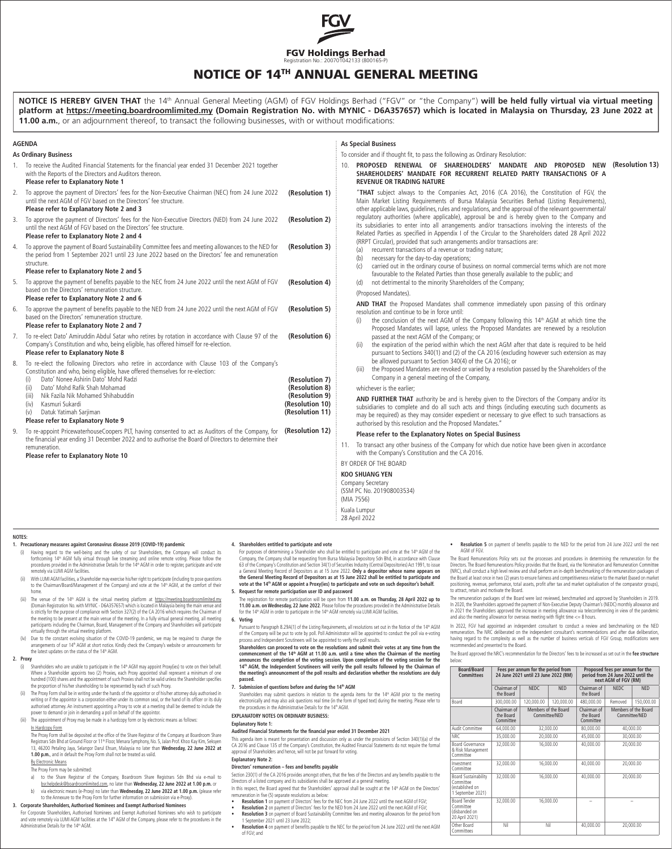

# NOTICE OF 14TH ANNUAL GENERAL MEETING

**NOTICE IS HEREBY GIVEN THAT** the 14th Annual General Meeting (AGM) of FGV Holdings Berhad ("FGV" or "the Company") **will be held fully virtual via virtual meeting platform at https://meeting.boardroomlimited.my (Domain Registration No. with MYNIC - D6A357657) which is located in Malaysia on Thursday, 23 June 2022 at 11.00 a.m.**, or an adjournment thereof, to transact the following businesses, with or without modifications: **AGENDA As Ordinary Business** 1. To receive the Audited Financial Statements for the financial year ended 31 December 2021 together with the Reports of the Directors and Auditors thereon. **Please refer to Explanatory Note 1** 2. To approve the payment of Directors' fees for the Non-Executive Chairman (NEC) from 24 June 2022 until the next AGM of FGV based on the Directors' fee structure. **Please refer to Explanatory Note 2 and 3** 3. To approve the payment of Directors' fees for the Non-Executive Directors (NED) from 24 June 2022 until the next AGM of FGV based on the Directors' fee structure. **Please refer to Explanatory Note 2 and 4** 4. To approve the payment of Board Sustainability Committee fees and meeting allowances to the NED for the period from 1 September 2021 until 23 June 2022 based on the Directors' fee and remuneration structure. **Please refer to Explanatory Note 2 and 5** 5. To approve the payment of benefits payable to the NEC from 24 June 2022 until the next AGM of FGV based on the Directors' remuneration structure. **Please refer to Explanatory Note 2 and 6** 6. To approve the payment of benefits payable to the NED from 24 June 2022 until the next AGM of FGV based on the Directors' remuneration structure. **Please refer to Explanatory Note 2 and 7** 7. To re-elect Dato' Amiruddin Abdul Satar who retires by rotation in accordance with Clause 97 of the Company's Constitution and who, being eligible, has offered himself for re-election. **Please refer to Explanatory Note 8** 8. To re-elect the following Directors who retire in accordance with Clause 103 of the Company's Constitution and who, being eligible, have offered themselves for re-election: (i) Dato' Nonee Ashirin Dato' Mohd Radzi (ii) Dato' Mohd Rafik Shah Mohamad (iii) Nik Fazila Nik Mohamed Shihabuddin Kasmuri Sukardi (v) Datuk Yatimah Sarjiman **Please refer to Explanatory Note 9** 9. To re-appoint PricewaterhouseCoopers PLT, having consented to act as Auditors of the Company, for the financial year ending 31 December 2022 and to authorise the Board of Directors to determine their remuneration. **Please refer to Explanatory Note 10 As Special Business** To consider and if thought fit, to pass the following as Ordinary Resolution: 10. **PROPOSED RENEWAL OF SHAREHOLDERS' MANDATE AND PROPOSED NEW (Resolution 13) SHAREHOLDERS' MANDATE FOR RECURRENT RELATED PARTY TRANSACTIONS OF A REVENUE OR TRADING NATURE** "**THAT** subject always to the Companies Act, 2016 (CA 2016), the Constitution of FGV, the Main Market Listing Requirements of Bursa Malaysia Securities Berhad (Listing Requirements), other applicable laws, guidelines, rules and regulations, and the approval of the relevant governmental/ regulatory authorities (where applicable), approval be and is hereby given to the Company and its subsidiaries to enter into all arrangements and/or transactions involving the interests of the Related Parties as specified in Appendix I of the Circular to the Shareholders dated 28 April 2022 (RRPT Circular), provided that such arrangements and/or transactions are: (a) recurrent transactions of a revenue or trading nature; (b) necessary for the day-to-day operations;<br>(c) carried out in the ordinary course of bus carried out in the ordinary course of business on normal commercial terms which are not more favourable to the Related Parties than those generally available to the public; and (d) not detrimental to the minority Shareholders of the Company; (Proposed Mandates). **AND THAT** the Proposed Mandates shall commence immediately upon passing of this ordinary resolution and continue to be in force until: (i) the conclusion of the next AGM of the Company following this  $14<sup>th</sup>$  AGM at which time the Proposed Mandates will lapse, unless the Proposed Mandates are renewed by a resolution passed at the next AGM of the Company; or (ii) the expiration of the period within which the next AGM after that date is required to be held pursuant to Sections 340(1) and (2) of the CA 2016 (excluding however such extension as may be allowed pursuant to Section 340(4) of the CA 2016); or (iii) the Proposed Mandates are revoked or varied by a resolution passed by the Shareholders of the Company in a general meeting of the Company, whichever is the earlier; **AND FURTHER THAT** authority be and is hereby given to the Directors of the Company and/or its subsidiaries to complete and do all such acts and things (including executing such documents as may be required) as they may consider expedient or necessary to give effect to such transactions as authorised by this resolution and the Proposed Mandates." **Please refer to the Explanatory Notes on Special Business** 11. To transact any other business of the Company for which due notice have been given in accordance with the Company's Constitution and the CA 2016. BY ORDER OF THE BOARD **KOO SHUANG YEN** Company Secretary (SSM PC No. 201908003534) (MIA 7556) Kuala Lumpur 28 April 2022 **(Resolution 1) (Resolution 3) (Resolution 2) (Resolution 4) (Resolution 5) (Resolution 6) (Resolution 7) (Resolution 8) (Resolution 9) (Resolution 11) (Resolution 10) (Resolution 12) NOTES: 1. Precautionary measures against Coronavirus disease 2019 (COVID-19) pandemic** (i) Having regard to the well-being and the safety of our Shareholders, the Company will conduct its<br>forthcoming 14ª AGM fully virtual through live streaming and online remote voting. Please follow the<br>procedures provided **4. Shareholders entitled to participate and vote** For purposes of determining a Shareholder who shall be entitled to participate and vote at the 14th AGM of the **Resolution 5** on payment of benefits payable to the NED for the period from 24 June 2022 until the next AGM of FGV. The Board Remunerations Policy sets out the processes and procedures in determining the remuneration for the Directors. The Board Remunerations Policy provides that the Board, via the Nomination and Remuneration Committee

remotely via LUMI AGM facilities. ii) With LUMI AGM facilities, a Shareholder may exercise his/her right to participate (including to pose questions<br>to the Chairman/Board/Management of the Company) and vote at the 14th AGM, at the comfort of their

home. iii) The venue of the 14ª AGM is the virtual meeting platform at <u>https://meeting.boardroomlimited.my</u><br>(Domain Registration No, with MYNIC - D6A35767) which is located in Malaysia being the main venue and<br>is strictly for t the meeting to be present at the main venue of the meeting. In a fully virtual general meeting, all meeting participants including the Chairman, Board, Management of the Company and Shareholders will participate virtually through the virtual meeting platform.

(iv) Due to the constant evolving situation of the COVID-19 pandemic, we may be required to change the<br>arrangements of our 14<sup>9</sup> AGM at short notice. Kindly check the Company's website or announcements for<br>the latest updat

## **2. Proxy**

- (i) Shareholders who are unable to participate in the 14th AGM may appoint Proxy(ies) to vote on their behalf.<br>Where a Shareholder appoints two (2) Proxies, each Proxy appointed shall represent a minimum of one<br>hundred (10 the proportion of his/her shareholding to be represented by each of such Proxy.
- The Proxy Form shall be in writing under the hands of the appointor or of his/her attorney duly authorised in writing or if the appointor is a corporation either under its common seal, or the hand of its officer or its duly<br>authorised attorney. An instrument appointing a Proxy to vote at a meeting shall be deemed to include the authorised attorney. An instrument appointing a Proxy to vote at a meeting shall be deemed to include the power to demand or join in demanding a poll on behalf of the appointor.
- (iii) The appointment of Proxy may be made in a hardcopy form or by electronic means as follows:

# In Hardcopy Form

The Proxy Form shall be deposited at the office of the Share Registrar of the Company at Boardroom Share<br>Registrars Sdn Bhd at Ground Floor or 1 <sup>pe</sup> Floor, Menara Symphony, No. 5, Jalan Prof. Khoo Kay Kim, Seksyen<br>13, 462

#### **By Electronic Means** The Proxy Form may be submitted:

- a) to the Share Registrar of the Company, Boardroom Share Registrars Sdn Bhd via e-mail to bsr.helpdesk@boardroomlimited.com, no later than **Wednesday, 22 June 2022 at 1.00 p.m.** or
- b) via electronic means (e-Proxy) no later than **Wednesday, 22 June 2022 at 1.00 p.m.** (please refer<br>to the Annexure to the Proxy Form for further information on submission via e-Proxy). to the Annexure to the Proxy Form for further information to the Annexure to the Proxy Form for further information

# **3. Corporate Shareholders, Authorised Nominees and Exempt Authorised Nominees**

For Corporate Shareholders, Authorised Nominees and Exempt Authorised Nominees who wish to participate and vote remotely via LUMI AGM facilities at the 14<sup>th</sup> AGM of the Company, please refer to the procedures in the Administrative Details for the 14<sup>th</sup> AGM.

Company, the Company shall be requesting from Bursa Malaysia Depository Sdn Bhd, in accordance with Clause<br>63 of the Company's Constitution and Section 34(1) of Securities Industry (Central Depositories) Act 1991, to<br>16 Ge **volume company Schoolarton and Section Section 2.4 (19) are appear on a General Meeting Record of Depositors as at 15 June 2022. Only a depositor whose name appears on the General Meeting Record of Depositors as at 15 Jun 5. Request for remote participation user ID and password**

The registration for remote participation will be open from **11.00 a.m. on Thursday, 28 April 2022 up to**<br>**11.00 a.m. on Wednesday, 22 June 202**2. Please follow the procedures provided in the Administrative Details<br>for the

#### **6. Voting**

Pursuant to Paragraph 8.29A(1) of the Listing Requirements, all resolutions set out in the Notice of the 14® AGM<br>of the Company will be put to vote by poll. Poll Administrator will be appointed to conduct the poll via e-vo

Shareholders can proceed to vote on the resolutions and submit their votes at any time from the<br>commencement of the 14™ AGM at 11.00 a.m. until a time when the Chairman of the meeting<br>announces the completion of the voting **14th AGM, the Independent Scrutineers will verify the poll results followed by the Chairman of the meeting's announcement of the poll results and declaration whether the resolutions are duly passed.**

**7. Submission of questions before and during the 14th AGM**

Shareholders may submit questions in relation to the agenda items for the 14ª AGM prior to the meeting<br>electronically and may also ask questions real time (in the form of typed text) during the meeting. Please refer to<br>the

# **EXPLANATORY NOTES ON ORDINARY BUSINESS:**

# **Explanatory Note 1:**

**Audited Financial Statements for the financial year ended 31 December 2021**

This agenda item is meant for presentation and discussion only as under the provisions of Section 340(1)(a) of the CA 2016 and Clause 135 of the Company's Constitution, the Audited Financial Statements do not require the formal approval of Shareholders and hence, will not be put forward for voting. **Explanatory Note 2:**

# **Directors' remuneration – fees and benefits payable**

Section 230(1) of the CA 2016 provides amongst others, that the fees of the Directors and any benefits payable to the<br>Directors of a listed company and its subsidiaries shall be approved at a general meeting. In this respect, the Board agreed that the Shareholders' approval shall be sought at the 14ª AGM on the Directors'<br>remuneration in five (5) separate resolutions as below:<br>● Resolution 1 on payment of Directors' fees

- 
- **Resolution 2** on payment of Directors' fees for the NED from 24 June 2022 until the next AGM of FGV
- Resolution 3 on payment of Board Sustainability Committee fees and meeting allowances for the period from<br>1 September 2021 until 23 June 2022;<br>• Resolution 4 on payment of benefits payable to the NEC for the period from
- of FGV; and

(NRC), shall conduct a high level review and shall perform an in-depth benchmarking of the remuneration packages of<br>the Board at least once in two (2) years to ensure fairness and competitiveness relative to the market (ba to attract, retain and motivate the Board.

The remuneration packages of the Board were last reviewed, benchmarked and approved by Shareholders in 2019. In 2020, the Shareholders approved the payment of Non-Executive Deputy Chairman's (NEDC) monthly allowance and<br>in 2021 the Shareholders approved the increase in meeting allowance via teleconferencing in view of the pandemi

In 2022, FGV had appointed an independent consultant to conduct a review and benchmarking on the NED remuneration. The NRC deliberated on the independent consultant's recommendations and after due deliberation, having regard to the complexity as well as the number of business verticals of FGV Group, modifications were recommended and presented to the Board.

The Board approved the NRC's recommendation for the Directors' fees to be increased as set out in the **fee structure** below:

| Board/Board<br><b>Committees</b>                                                 | Fees per annum for the period from<br>24 June 2021 until 23 June 2022 (RM) |                                       |            | Proposed fees per annum for the<br>period from 24 June 2022 until the<br>next AGM of FGV (RM) |                                       |            |
|----------------------------------------------------------------------------------|----------------------------------------------------------------------------|---------------------------------------|------------|-----------------------------------------------------------------------------------------------|---------------------------------------|------------|
|                                                                                  | Chairman of<br>the Board                                                   | <b>NFDC</b>                           | <b>NED</b> | Chairman of<br>the Board                                                                      | <b>NEDC</b>                           | <b>NED</b> |
| Board                                                                            | 300,000.00                                                                 | 120,000.00                            | 120,000,00 | 480,000.00                                                                                    | Removed                               | 150,000.00 |
|                                                                                  | Chairman of<br>the Board<br>Committee                                      | Members of the Board<br>Committee/NED |            | Chairman of<br>the Board<br>Committee                                                         | Members of the Board<br>Committee/NED |            |
| Audit Committee                                                                  | 64.000.00                                                                  | 32.000.00                             |            | 80,000.00                                                                                     | 40.000.00                             |            |
| NRC                                                                              | 35.000.00                                                                  | 20.000.00                             |            | 45.000.00                                                                                     | 30.000.00                             |            |
| Board Governance<br>& Risk Management<br>Committee                               | 32,000.00                                                                  | 16,000.00                             |            | 40,000.00                                                                                     |                                       | 20,000.00  |
| Investment<br>Committee                                                          | 32,000.00                                                                  | 16,000.00                             |            | 40.000.00                                                                                     |                                       | 20,000.00  |
| <b>Board Sustainability</b><br>Committee<br>(established on<br>1 September 2021) | 32.000.00                                                                  | 16,000.00                             |            | 40,000.00                                                                                     | 20,000.00                             |            |
| <b>Board Tender</b><br>Committee<br>(disbanded on<br>20 April 2021)              | 32.000.00                                                                  | 16,000.00                             |            |                                                                                               |                                       |            |
| Other Board<br>Committees                                                        | Nil                                                                        | Nil                                   |            | 40.000.00                                                                                     |                                       | 20,000,00  |